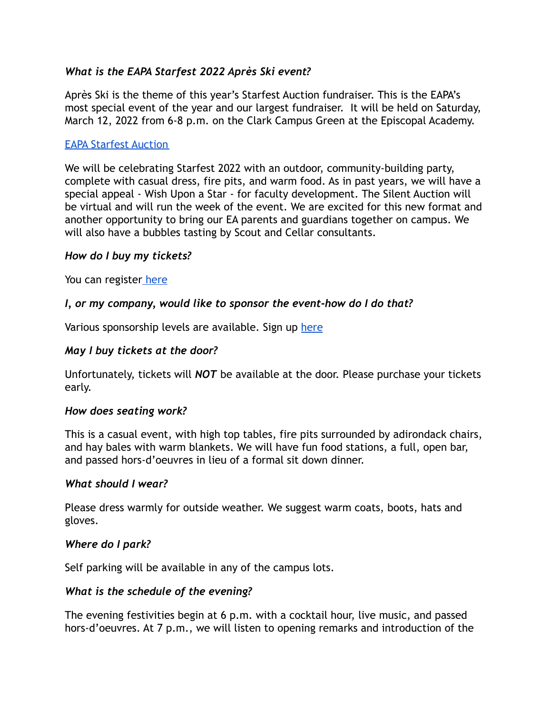## *What is the EAPA Starfest 2022 Après Ski event?*

Après Ski is the theme of this year's Starfest Auction fundraiser. This is the EAPA's most special event of the year and our largest fundraiser. It will be held on Saturday, March 12, 2022 from 6-8 p.m. on the Clark Campus Green at the Episcopal Academy.

### [EAPA Starfest Auction](https://www.episcopalacademy.org/about-ea/parents-association-eapa/eapa-starfest-auction)

We will be celebrating Starfest 2022 with an outdoor, community-building party, complete with casual dress, fire pits, and warm food. As in past years, we will have a special appeal - Wish Upon a Star - for faculty development. The Silent Auction will be virtual and will run the week of the event. We are excited for this new format and another opportunity to bring our EA parents and guardians together on campus. We will also have a bubbles tasting by Scout and Cellar consultants.

#### *How do I buy my tickets?*

You can register [here](https://eapa.ejoinme.org/Starfest22)

### *I, or my company, would like to sponsor the event-how do I do that?*

Various sponsorship levels are available. Sign up [here](https://eapa.ejoinme.org/StarfestSponsor22)

### *May I buy tickets at the door?*

Unfortunately, tickets will *NOT* be available at the door. Please purchase your tickets early.

#### *How does seating work?*

This is a casual event, with high top tables, fire pits surrounded by adirondack chairs, and hay bales with warm blankets. We will have fun food stations, a full, open bar, and passed hors-d'oeuvres in lieu of a formal sit down dinner.

#### *What should I wear?*

Please dress warmly for outside weather. We suggest warm coats, boots, hats and gloves.

#### *Where do I park?*

Self parking will be available in any of the campus lots.

#### *What is the schedule of the evening?*

The evening festivities begin at 6 p.m. with a cocktail hour, live music, and passed hors-d'oeuvres. At 7 p.m., we will listen to opening remarks and introduction of the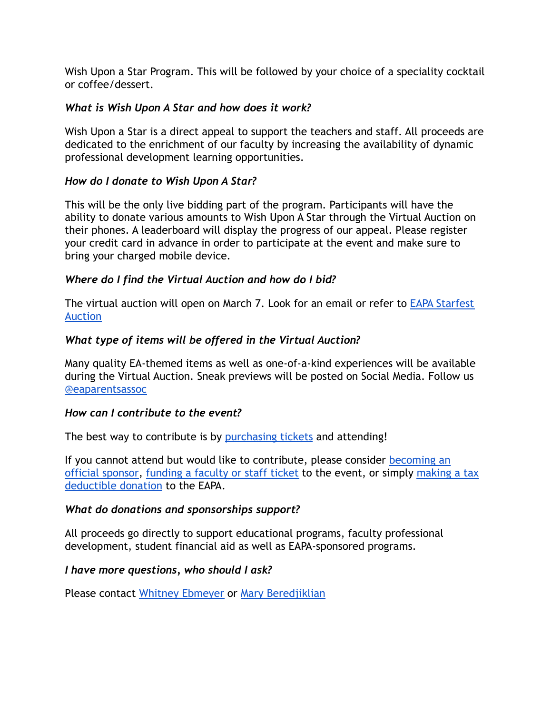Wish Upon a Star Program. This will be followed by your choice of a speciality cocktail or coffee/dessert.

## *What is Wish Upon A Star and how does it work?*

Wish Upon a Star is a direct appeal to support the teachers and staff. All proceeds are dedicated to the enrichment of our faculty by increasing the availability of dynamic professional development learning opportunities.

## *How do I donate to Wish Upon A Star?*

This will be the only live bidding part of the program. Participants will have the ability to donate various amounts to Wish Upon A Star through the Virtual Auction on their phones. A leaderboard will display the progress of our appeal. Please register your credit card in advance in order to participate at the event and make sure to bring your charged mobile device.

# *Where do I find the Virtual Auction and how do I bid?*

The virtual auction will open on March 7. Look for an email or refer to [EAPA Starfest](https://www.episcopalacademy.org/about-ea/parents-association-eapa/eapa-starfest-auction) [Auction](https://www.episcopalacademy.org/about-ea/parents-association-eapa/eapa-starfest-auction)

# *What type of items will be offered in the Virtual Auction?*

Many quality EA-themed items as well as one-of-a-kind experiences will be available during the Virtual Auction. Sneak previews will be posted on Social Media. Follow us [@eaparentsassoc](https://www.instagram.com/eaparentsassoc/?hl=en)

## *How can I contribute to the event?*

The best way to contribute is by [purchasing tickets](https://eapa.ejoinme.org/Starfest22) and attending!

If you cannot attend but would like to contribute, please consider [becoming an](https://eapa.ejoinme.org/StarfestSponsor22) [official sponsor](https://eapa.ejoinme.org/StarfestSponsor22), [funding a faculty or staff ticket](https://eapa.ejoinme.org/Starfest22) to the event, or simply [making a tax](https://eapa.ejoinme.org/Starfest22) [deductible donation](https://eapa.ejoinme.org/Starfest22) to the EAPA.

## *What do donations and sponsorships support?*

All proceeds go directly to support educational programs, faculty professional development, student financial aid as well as EAPA-sponsored programs.

## *I have more questions, who should I ask?*

Please contact [Whitney Ebmeyer](mailto:webmeyer@comcast.net) or [Mary Beredjiklian](mailto:mberedjiklian@gmail.com)